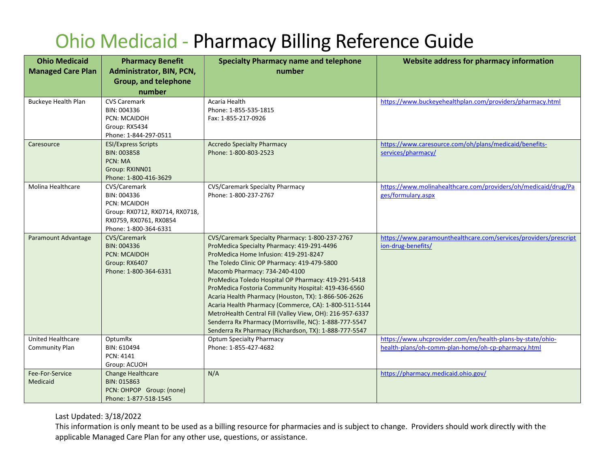## Ohio Medicaid - Pharmacy Billing Reference Guide

| <b>Ohio Medicaid</b>                | <b>Pharmacy Benefit</b>                                                                                                          | <b>Specialty Pharmacy name and telephone</b>                                                                                                                                                                                                                                                                                                                                                                                                                                                                                                                                                                                         | Website address for pharmacy information                                                                         |
|-------------------------------------|----------------------------------------------------------------------------------------------------------------------------------|--------------------------------------------------------------------------------------------------------------------------------------------------------------------------------------------------------------------------------------------------------------------------------------------------------------------------------------------------------------------------------------------------------------------------------------------------------------------------------------------------------------------------------------------------------------------------------------------------------------------------------------|------------------------------------------------------------------------------------------------------------------|
| <b>Managed Care Plan</b>            | Administrator, BIN, PCN,                                                                                                         | number                                                                                                                                                                                                                                                                                                                                                                                                                                                                                                                                                                                                                               |                                                                                                                  |
|                                     | <b>Group, and telephone</b>                                                                                                      |                                                                                                                                                                                                                                                                                                                                                                                                                                                                                                                                                                                                                                      |                                                                                                                  |
|                                     | number                                                                                                                           |                                                                                                                                                                                                                                                                                                                                                                                                                                                                                                                                                                                                                                      |                                                                                                                  |
| <b>Buckeye Health Plan</b>          | <b>CVS Caremark</b><br>BIN: 004336<br><b>PCN: MCAIDOH</b><br>Group: RX5434<br>Phone: 1-844-297-0511                              | Acaria Health<br>Phone: 1-855-535-1815<br>Fax: 1-855-217-0926                                                                                                                                                                                                                                                                                                                                                                                                                                                                                                                                                                        | https://www.buckeyehealthplan.com/providers/pharmacy.html                                                        |
| Caresource                          | <b>ESI/Express Scripts</b><br>BIN: 003858<br>PCN: MA<br>Group: RXINN01<br>Phone: 1-800-416-3629                                  | <b>Accredo Specialty Pharmacy</b><br>Phone: 1-800-803-2523                                                                                                                                                                                                                                                                                                                                                                                                                                                                                                                                                                           | https://www.caresource.com/oh/plans/medicaid/benefits-<br>services/pharmacy/                                     |
| Molina Healthcare                   | CVS/Caremark<br>BIN: 004336<br>PCN: MCAIDOH<br>Group: RX0712, RX0714, RX0718,<br>RX0759, RX0761, RX0854<br>Phone: 1-800-364-6331 | <b>CVS/Caremark Specialty Pharmacy</b><br>Phone: 1-800-237-2767                                                                                                                                                                                                                                                                                                                                                                                                                                                                                                                                                                      | https://www.molinahealthcare.com/providers/oh/medicaid/drug/Pa<br>ges/formulary.aspx                             |
| Paramount Advantage                 | CVS/Caremark<br>BIN: 004336<br><b>PCN: MCAIDOH</b><br>Group: RX6407<br>Phone: 1-800-364-6331                                     | CVS/Caremark Specialty Pharmacy: 1-800-237-2767<br>ProMedica Specialty Pharmacy: 419-291-4496<br>ProMedica Home Infusion: 419-291-8247<br>The Toledo Clinic OP Pharmacy: 419-479-5800<br>Macomb Pharmacy: 734-240-4100<br>ProMedica Toledo Hospital OP Pharmacy: 419-291-5418<br>ProMedica Fostoria Community Hospital: 419-436-6560<br>Acaria Health Pharmacy (Houston, TX): 1-866-506-2626<br>Acaria Health Pharmacy (Commerce, CA): 1-800-511-5144<br>MetroHealth Central Fill (Valley View, OH): 216-957-6337<br>Senderra Rx Pharmacy (Morrisville, NC): 1-888-777-5547<br>Senderra Rx Pharmacy (Richardson, TX): 1-888-777-5547 | https://www.paramounthealthcare.com/services/providers/prescript<br>ion-drug-benefits/                           |
| United Healthcare<br>Community Plan | OptumRx<br>BIN: 610494<br>PCN: 4141<br>Group: ACUOH                                                                              | <b>Optum Specialty Pharmacy</b><br>Phone: 1-855-427-4682                                                                                                                                                                                                                                                                                                                                                                                                                                                                                                                                                                             | https://www.uhcprovider.com/en/health-plans-by-state/ohio-<br>health-plans/oh-comm-plan-home/oh-cp-pharmacy.html |
| Fee-For-Service<br>Medicaid         | Change Healthcare<br>BIN: 015863<br>PCN: OHPOP Group: (none)<br>Phone: 1-877-518-1545                                            | N/A                                                                                                                                                                                                                                                                                                                                                                                                                                                                                                                                                                                                                                  | https://pharmacy.medicaid.ohio.gov/                                                                              |

Last Updated: 3/18/2022

This information is only meant to be used as a billing resource for pharmacies and is subject to change. Providers should work directly with the applicable Managed Care Plan for any other use, questions, or assistance.